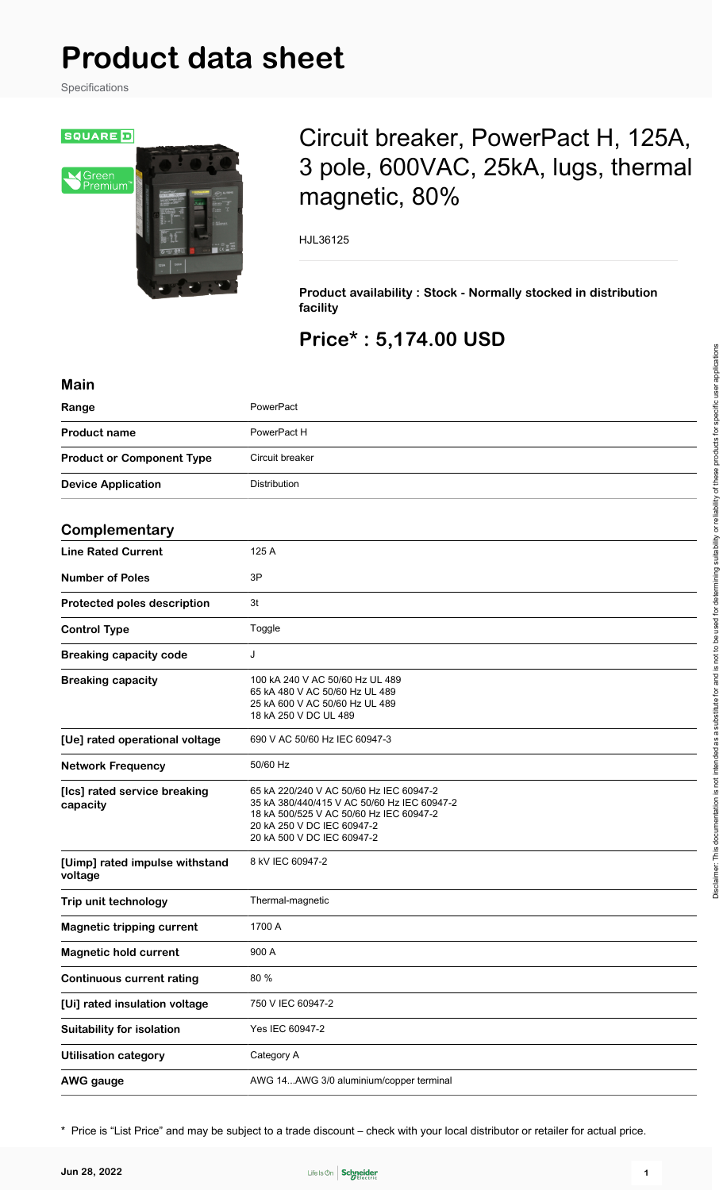# **Product data sheet**

Specifications



# Circuit breaker, PowerPact H, 125A, 3 pole, 600VAC, 25kA, lugs, thermal magnetic, 80%

HJL36125

**Product availability : Stock - Normally stocked in distribution facility**

# **Price\* : 5,174.00 USD**

| <b>Main</b>                               |                                                                                                                                                                                               |  |
|-------------------------------------------|-----------------------------------------------------------------------------------------------------------------------------------------------------------------------------------------------|--|
| Range                                     | PowerPact                                                                                                                                                                                     |  |
| <b>Product name</b>                       | PowerPact H                                                                                                                                                                                   |  |
| <b>Product or Component Type</b>          | Circuit breaker                                                                                                                                                                               |  |
| <b>Device Application</b>                 | Distribution                                                                                                                                                                                  |  |
|                                           |                                                                                                                                                                                               |  |
| Complementary                             |                                                                                                                                                                                               |  |
| <b>Line Rated Current</b>                 | 125 A                                                                                                                                                                                         |  |
| <b>Number of Poles</b>                    | 3P                                                                                                                                                                                            |  |
| Protected poles description               | 3t                                                                                                                                                                                            |  |
| <b>Control Type</b>                       | Toggle                                                                                                                                                                                        |  |
| <b>Breaking capacity code</b>             | J                                                                                                                                                                                             |  |
| <b>Breaking capacity</b>                  | 100 kA 240 V AC 50/60 Hz UL 489<br>65 kA 480 V AC 50/60 Hz UL 489<br>25 kA 600 V AC 50/60 Hz UL 489<br>18 kA 250 V DC UL 489                                                                  |  |
| [Ue] rated operational voltage            | 690 V AC 50/60 Hz IEC 60947-3                                                                                                                                                                 |  |
| <b>Network Frequency</b>                  | 50/60 Hz                                                                                                                                                                                      |  |
| [Ics] rated service breaking<br>capacity  | 65 kA 220/240 V AC 50/60 Hz IEC 60947-2<br>35 kA 380/440/415 V AC 50/60 Hz IEC 60947-2<br>18 kA 500/525 V AC 50/60 Hz IEC 60947-2<br>20 kA 250 V DC IEC 60947-2<br>20 kA 500 V DC IEC 60947-2 |  |
| [Uimp] rated impulse withstand<br>voltage | 8 kV IEC 60947-2                                                                                                                                                                              |  |
| Trip unit technology                      | Thermal-magnetic                                                                                                                                                                              |  |
| <b>Magnetic tripping current</b>          | 1700 A                                                                                                                                                                                        |  |
| <b>Magnetic hold current</b>              | 900 A                                                                                                                                                                                         |  |
| <b>Continuous current rating</b>          | 80 %                                                                                                                                                                                          |  |
| [Ui] rated insulation voltage             | 750 V IEC 60947-2                                                                                                                                                                             |  |
| <b>Suitability for isolation</b>          | Yes IEC 60947-2                                                                                                                                                                               |  |
| <b>Utilisation category</b>               | Category A                                                                                                                                                                                    |  |
| <b>AWG</b> gauge                          | AWG 14AWG 3/0 aluminium/copper terminal                                                                                                                                                       |  |

\* Price is "List Price" and may be subject to a trade discount – check with your local distributor or retailer for actual price.

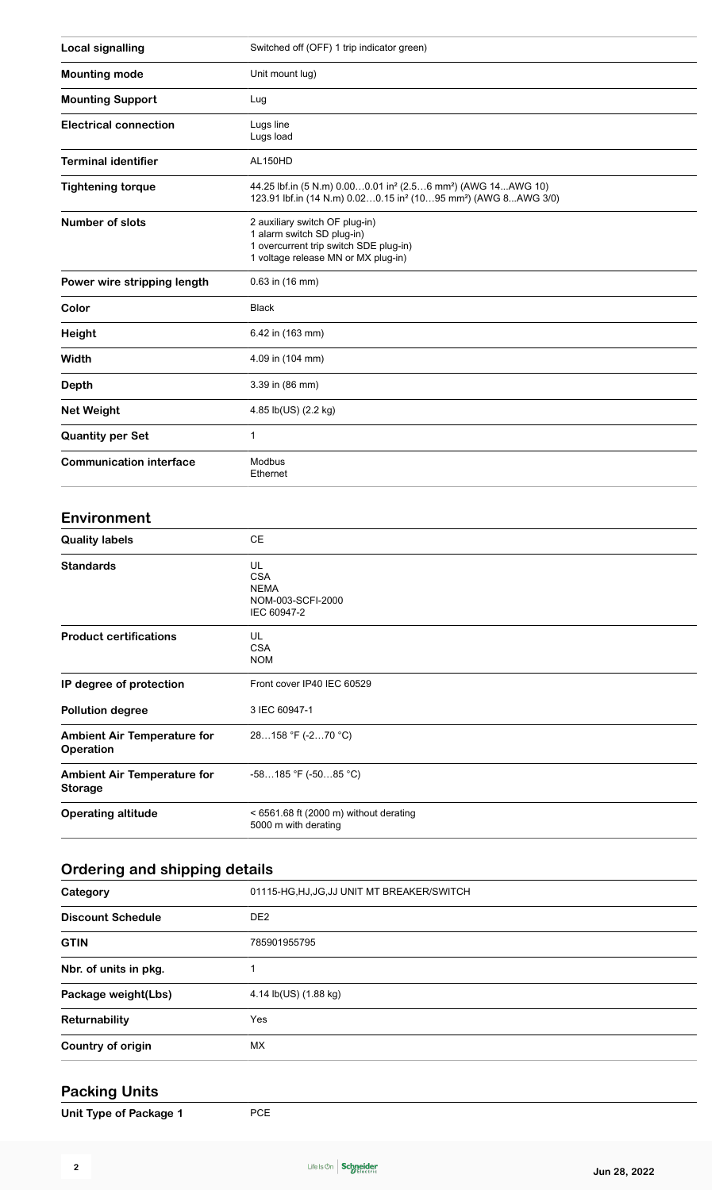| <b>Local signalling</b>        | Switched off (OFF) 1 trip indicator green)                                                                                                                                     |  |  |  |
|--------------------------------|--------------------------------------------------------------------------------------------------------------------------------------------------------------------------------|--|--|--|
| <b>Mounting mode</b>           | Unit mount lug)                                                                                                                                                                |  |  |  |
| <b>Mounting Support</b>        | Lug                                                                                                                                                                            |  |  |  |
| <b>Electrical connection</b>   | Lugs line<br>Lugs load                                                                                                                                                         |  |  |  |
| <b>Terminal identifier</b>     | AL150HD                                                                                                                                                                        |  |  |  |
| <b>Tightening torque</b>       | 44.25 lbf.in (5 N.m) 0.000.01 in <sup>2</sup> (2.56 mm <sup>2</sup> ) (AWG 14AWG 10)<br>123.91 lbf.in (14 N.m) 0.020.15 in <sup>2</sup> (1095 mm <sup>2</sup> ) (AWG 8AWG 3/0) |  |  |  |
| <b>Number of slots</b>         | 2 auxiliary switch OF plug-in)<br>1 alarm switch SD plug-in)<br>1 overcurrent trip switch SDE plug-in)<br>1 voltage release MN or MX plug-in)                                  |  |  |  |
| Power wire stripping length    | $0.63$ in (16 mm)                                                                                                                                                              |  |  |  |
| Color                          | <b>Black</b>                                                                                                                                                                   |  |  |  |
| Height                         | 6.42 in (163 mm)                                                                                                                                                               |  |  |  |
| Width                          | 4.09 in (104 mm)                                                                                                                                                               |  |  |  |
| Depth                          | 3.39 in (86 mm)                                                                                                                                                                |  |  |  |
| <b>Net Weight</b>              | 4.85 lb(US) (2.2 kg)                                                                                                                                                           |  |  |  |
| <b>Quantity per Set</b>        | 1                                                                                                                                                                              |  |  |  |
| <b>Communication interface</b> | Modbus<br>Ethernet                                                                                                                                                             |  |  |  |

#### **Environment**

| <b>Quality labels</b>                                | СE                                                                  |
|------------------------------------------------------|---------------------------------------------------------------------|
| <b>Standards</b>                                     | UL<br><b>CSA</b><br><b>NEMA</b><br>NOM-003-SCFI-2000<br>IEC 60947-2 |
| <b>Product certifications</b>                        | UL<br><b>CSA</b><br><b>NOM</b>                                      |
| IP degree of protection                              | Front cover IP40 IEC 60529                                          |
| <b>Pollution degree</b>                              | 3 IEC 60947-1                                                       |
| <b>Ambient Air Temperature for</b><br>Operation      | 28158 °F (-270 °C)                                                  |
| <b>Ambient Air Temperature for</b><br><b>Storage</b> | $-58185$ °F ( $-5085$ °C)                                           |
| <b>Operating altitude</b>                            | $<$ 6561.68 ft (2000 m) without derating<br>5000 m with derating    |

#### **Ordering and shipping details**

| Category                 | 01115-HG, HJ, JG, JJ UNIT MT BREAKER/SWITCH |  |  |
|--------------------------|---------------------------------------------|--|--|
| <b>Discount Schedule</b> | DE <sub>2</sub>                             |  |  |
| <b>GTIN</b>              | 785901955795                                |  |  |
| Nbr. of units in pkg.    |                                             |  |  |
| Package weight(Lbs)      | 4.14 lb(US) (1.88 kg)                       |  |  |
| Returnability            | Yes                                         |  |  |
| Country of origin        | МX                                          |  |  |

## **Packing Units**

| Unit Type of Package 1 | <b>PCE</b> |
|------------------------|------------|
|------------------------|------------|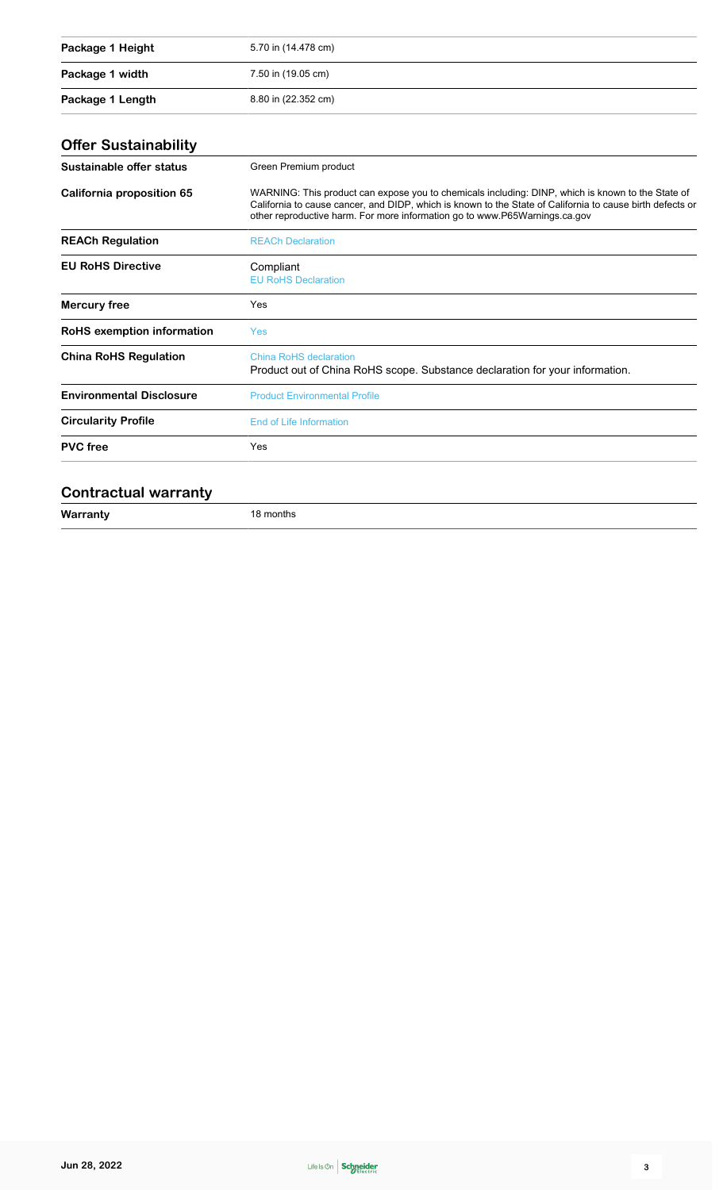| Package 1 Height | 5.70 in (14.478 cm) |
|------------------|---------------------|
| Package 1 width  | 7.50 in (19.05 cm)  |
| Package 1 Length | 8.80 in (22.352 cm) |

# **Offer Sustainability**

| Sustainable offer status          | Green Premium product                                                                                                                                                                                                                                                                        |  |  |
|-----------------------------------|----------------------------------------------------------------------------------------------------------------------------------------------------------------------------------------------------------------------------------------------------------------------------------------------|--|--|
| California proposition 65         | WARNING: This product can expose you to chemicals including: DINP, which is known to the State of<br>California to cause cancer, and DIDP, which is known to the State of California to cause birth defects or<br>other reproductive harm. For more information go to www.P65Warnings.ca.gov |  |  |
| <b>REACh Regulation</b>           | <b>REACh Declaration</b>                                                                                                                                                                                                                                                                     |  |  |
| <b>EU RoHS Directive</b>          | Compliant<br><b>EU RoHS Declaration</b>                                                                                                                                                                                                                                                      |  |  |
| Mercury free                      | Yes                                                                                                                                                                                                                                                                                          |  |  |
| <b>RoHS</b> exemption information | <b>Yes</b>                                                                                                                                                                                                                                                                                   |  |  |
| <b>China RoHS Regulation</b>      | China RoHS declaration<br>Product out of China RoHS scope. Substance declaration for your information.                                                                                                                                                                                       |  |  |
| <b>Environmental Disclosure</b>   | <b>Product Environmental Profile</b>                                                                                                                                                                                                                                                         |  |  |
| <b>Circularity Profile</b>        | End of Life Information                                                                                                                                                                                                                                                                      |  |  |
| <b>PVC</b> free                   | Yes                                                                                                                                                                                                                                                                                          |  |  |
|                                   |                                                                                                                                                                                                                                                                                              |  |  |

#### **Contractual warranty**

| $\mathbf{M}$ | nms |  |
|--------------|-----|--|